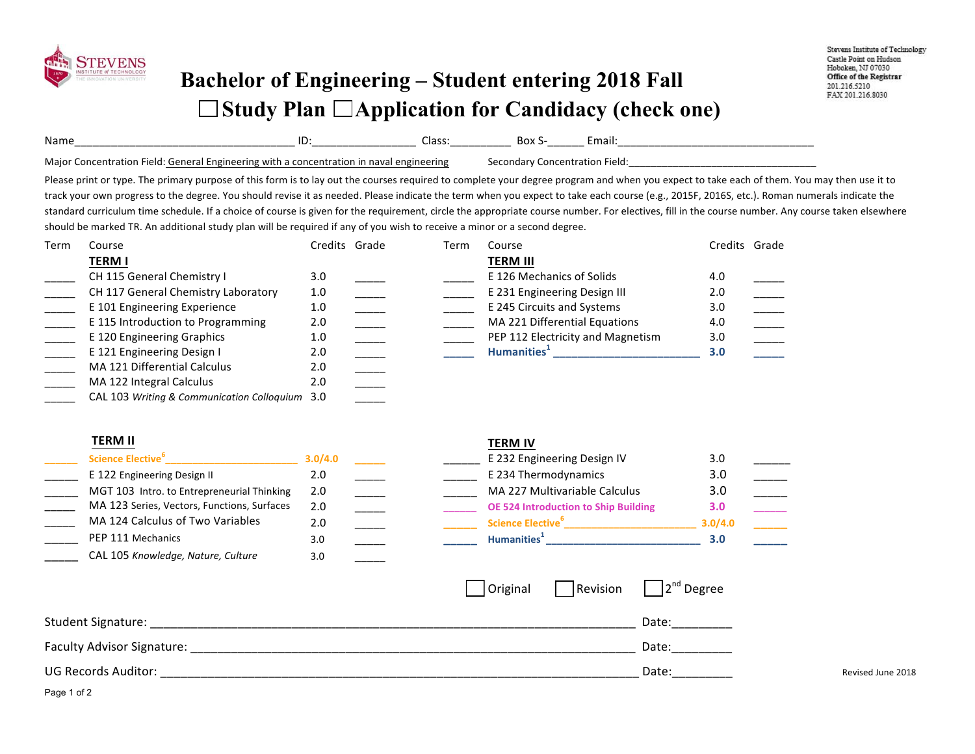

## **Bachelor of Engineering – Student entering 2018 Fall**  □ Study Plan □ Application for Candidacy (check one)

| Name<br>______                                                  | ∙<br>____________________          | ددەت<br>____________ | DUX<br>________ | нан.  |
|-----------------------------------------------------------------|------------------------------------|----------------------|-----------------|-------|
| Maior<br>۱۵۱۸۰-<br>. Generr<br>neering with<br>.on<br>aı<br>. . | concentration<br>enginee<br>. nava | rıne                 | uar.            | -ield |

Please print or type. The primary purpose of this form is to lay out the courses required to complete your degree program and when you expect to take each of them. You may then use it to track your own progress to the degree. You should revise it as needed. Please indicate the term when you expect to take each course (e.g., 2015F, 2016S, etc.). Roman numerals indicate the standard curriculum time schedule. If a choice of course is given for the requirement, circle the appropriate course number. For electives, fill in the course number. Any course taken elsewhere should be marked TR. An additional study plan will be required if any of you wish to receive a minor or a second degree.

| Term | Course                                         | Credits Grade | Term | Course                            | Credits Grade |  |
|------|------------------------------------------------|---------------|------|-----------------------------------|---------------|--|
|      | <b>TERM I</b>                                  |               |      | <b>TERM III</b>                   |               |  |
|      | CH 115 General Chemistry I                     | 3.0           |      | E 126 Mechanics of Solids         | 4.0           |  |
|      | CH 117 General Chemistry Laboratory            | 1.0           |      | E 231 Engineering Design III      | 2.0           |  |
|      | E 101 Engineering Experience                   | 1.0           |      | E 245 Circuits and Systems        | 3.0           |  |
|      | E 115 Introduction to Programming              | 2.0           |      | MA 221 Differential Equations     | 4.0           |  |
|      | E 120 Engineering Graphics                     | 1.0           |      | PEP 112 Electricity and Magnetism | 3.0           |  |
|      | E 121 Engineering Design I                     | 2.0           |      | Humanities <sup>+</sup>           | 3.0           |  |
|      | MA 121 Differential Calculus                   | 2.0           |      |                                   |               |  |
|      | MA 122 Integral Calculus                       | 2.0           |      |                                   |               |  |
|      | CAL 103 Writing & Communication Colloguium 3.0 |               |      |                                   |               |  |

## **TERM II TERM IV**

| Science Elective <sup>°</sup>               | 3.0/4.0 |  | E 232 Engineering Design IV                 | 3.0     |  |
|---------------------------------------------|---------|--|---------------------------------------------|---------|--|
| E 122 Engineering Design II                 | 2.0     |  | E 234 Thermodynamics                        | 3.0     |  |
| MGT 103 Intro. to Entrepreneurial Thinking  | 2.0     |  | MA 227 Multivariable Calculus               | 3.0     |  |
| MA 123 Series, Vectors, Functions, Surfaces | 2.0     |  | <b>OE 524 Introduction to Ship Building</b> | 3.0     |  |
| MA 124 Calculus of Two Variables            | 2.0     |  | Science Elective <sup>6</sup>               | 3.0/4.0 |  |
| PEP 111 Mechanics                           | 3.0     |  | Humanities <sup>1</sup>                     | 3.0     |  |
| CAL 105 Knowledge, Nature, Culture          | 3.0     |  |                                             |         |  |

|                              | 3.0/4.0       |  | E 232 Engineering Design IV                 | 3.0     |  |
|------------------------------|---------------|--|---------------------------------------------|---------|--|
| ıg Design II                 | 2.0           |  | E 234 Thermodynamics                        | 3.0     |  |
| to Entrepreneurial Thinking  | 2.0           |  | MA 227 Multivariable Calculus               | 3.0     |  |
| Vectors, Functions, Surfaces | $2.0^{\circ}$ |  | <b>OE 524 Introduction to Ship Building</b> | 3.0     |  |
| is of Two Variables          | 2.0           |  | Science Elective <sup>6</sup>               | 3.0/4.0 |  |
| าics                         | 3.0           |  | Humanities <sup>1</sup>                     | 3.0     |  |

|                            | Original | Revision | $\begin{array}{c c} 1 & 2^{nd} \end{array}$ Degree |                   |
|----------------------------|----------|----------|----------------------------------------------------|-------------------|
| Student Signature:         |          |          | Date:                                              |                   |
| Faculty Advisor Signature: |          |          | Date:                                              |                   |
| <b>UG Records Auditor:</b> |          |          | Date:                                              | Revised June 2018 |

Page 1 of 2